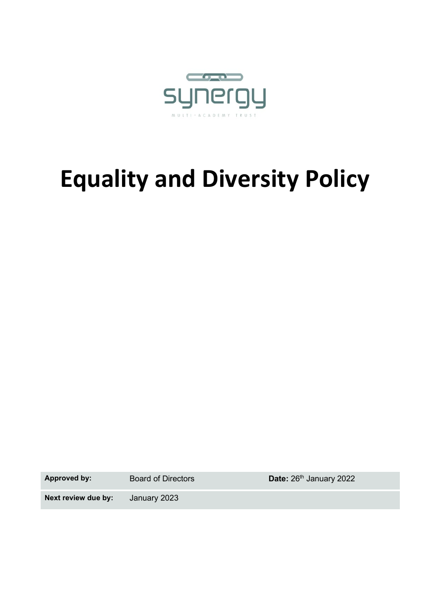

# **Equality and Diversity Policy**

Approved by: Board of Directors **Date:** 26<sup>th</sup> January 2022

**Next review due by:** January 2023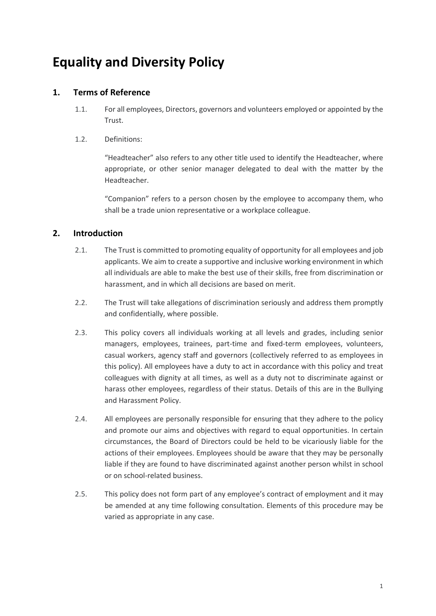# **Equality and Diversity Policy**

### **1. Terms of Reference**

- 1.1. For all employees, Directors, governors and volunteers employed or appointed by the Trust.
- 1.2. Definitions:

"Headteacher" also refers to any other title used to identify the Headteacher, where appropriate, or other senior manager delegated to deal with the matter by the Headteacher.

"Companion" refers to a person chosen by the employee to accompany them, who shall be a trade union representative or a workplace colleague.

## **2. Introduction**

- 2.1. The Trust is committed to promoting equality of opportunity for all employees and job applicants. We aim to create a supportive and inclusive working environment in which all individuals are able to make the best use of their skills, free from discrimination or harassment, and in which all decisions are based on merit.
- 2.2. The Trust will take allegations of discrimination seriously and address them promptly and confidentially, where possible.
- 2.3. This policy covers all individuals working at all levels and grades, including senior managers, employees, trainees, part-time and fixed-term employees, volunteers, casual workers, agency staff and governors (collectively referred to as employees in this policy). All employees have a duty to act in accordance with this policy and treat colleagues with dignity at all times, as well as a duty not to discriminate against or harass other employees, regardless of their status. Details of this are in the Bullying and Harassment Policy.
- 2.4. All employees are personally responsible for ensuring that they adhere to the policy and promote our aims and objectives with regard to equal opportunities. In certain circumstances, the Board of Directors could be held to be vicariously liable for the actions of their employees. Employees should be aware that they may be personally liable if they are found to have discriminated against another person whilst in school or on school-related business.
- 2.5. This policy does not form part of any employee's contract of employment and it may be amended at any time following consultation. Elements of this procedure may be varied as appropriate in any case.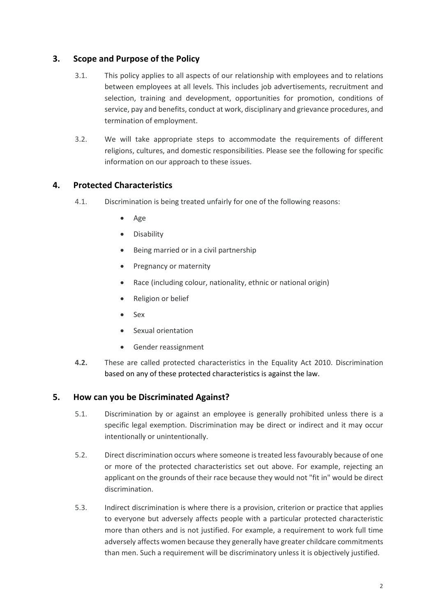#### **3. Scope and Purpose of the Policy**

- 3.1. This policy applies to all aspects of our relationship with employees and to relations between employees at all levels. This includes job advertisements, recruitment and selection, training and development, opportunities for promotion, conditions of service, pay and benefits, conduct at work, disciplinary and grievance procedures, and termination of employment.
- 3.2. We will take appropriate steps to accommodate the requirements of different religions, cultures, and domestic responsibilities. Please see the following for specific information on our approach to these issues.

#### **4. Protected Characteristics**

- 4.1. Discrimination is being treated unfairly for one of the following reasons:
	- Age
	- **Disability**
	- Being married or in a civil partnership
	- Pregnancy or maternity
	- Race (including colour, nationality, ethnic or national origin)
	- Religion or belief
	- Sex
	- Sexual orientation
	- Gender reassignment
- **4.2.** These are called protected characteristics in the Equality Act 2010. Discrimination based on any of these protected characteristics is against the law.

#### **5. How can you be Discriminated Against?**

- 5.1. Discrimination by or against an employee is generally prohibited unless there is a specific legal exemption. Discrimination may be direct or indirect and it may occur intentionally or unintentionally.
- 5.2. Direct discrimination occurs where someone is treated less favourably because of one or more of the protected characteristics set out above. For example, rejecting an applicant on the grounds of their race because they would not "fit in" would be direct discrimination.
- 5.3. Indirect discrimination is where there is a provision, criterion or practice that applies to everyone but adversely affects people with a particular protected characteristic more than others and is not justified. For example, a requirement to work full time adversely affects women because they generally have greater childcare commitments than men. Such a requirement will be discriminatory unless it is objectively justified.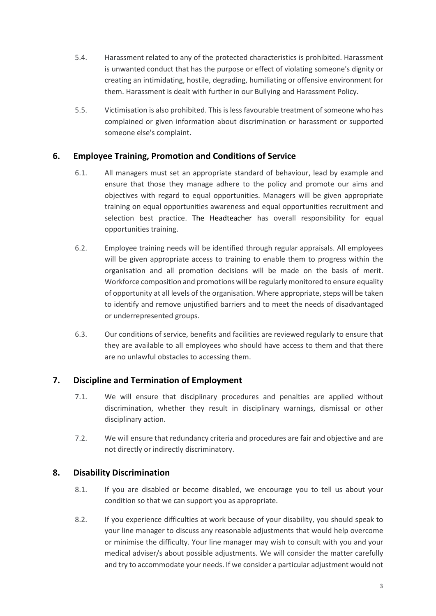- 5.4. Harassment related to any of the protected characteristics is prohibited. Harassment is unwanted conduct that has the purpose or effect of violating someone's dignity or creating an intimidating, hostile, degrading, humiliating or offensive environment for them. Harassment is dealt with further in our Bullying and Harassment Policy.
- 5.5. Victimisation is also prohibited. This is less favourable treatment of someone who has complained or given information about discrimination or harassment or supported someone else's complaint.

#### **6. Employee Training, Promotion and Conditions of Service**

- 6.1. All managers must set an appropriate standard of behaviour, lead by example and ensure that those they manage adhere to the policy and promote our aims and objectives with regard to equal opportunities. Managers will be given appropriate training on equal opportunities awareness and equal opportunities recruitment and selection best practice. The Headteacher has overall responsibility for equal opportunities training.
- 6.2. Employee training needs will be identified through regular appraisals. All employees will be given appropriate access to training to enable them to progress within the organisation and all promotion decisions will be made on the basis of merit. Workforce composition and promotions will be regularly monitored to ensure equality of opportunity at all levels of the organisation. Where appropriate, steps will be taken to identify and remove unjustified barriers and to meet the needs of disadvantaged or underrepresented groups.
- 6.3. Our conditions of service, benefits and facilities are reviewed regularly to ensure that they are available to all employees who should have access to them and that there are no unlawful obstacles to accessing them.

#### **7. Discipline and Termination of Employment**

- 7.1. We will ensure that disciplinary procedures and penalties are applied without discrimination, whether they result in disciplinary warnings, dismissal or other disciplinary action.
- 7.2. We will ensure that redundancy criteria and procedures are fair and objective and are not directly or indirectly discriminatory.

#### **8. Disability Discrimination**

- 8.1. If you are disabled or become disabled, we encourage you to tell us about your condition so that we can support you as appropriate.
- 8.2. If you experience difficulties at work because of your disability, you should speak to your line manager to discuss any reasonable adjustments that would help overcome or minimise the difficulty. Your line manager may wish to consult with you and your medical adviser/s about possible adjustments. We will consider the matter carefully and try to accommodate your needs. If we consider a particular adjustment would not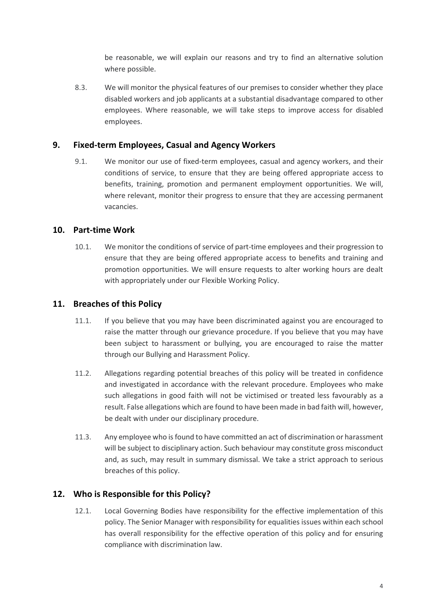be reasonable, we will explain our reasons and try to find an alternative solution where possible.

8.3. We will monitor the physical features of our premises to consider whether they place disabled workers and job applicants at a substantial disadvantage compared to other employees. Where reasonable, we will take steps to improve access for disabled employees.

#### **9. Fixed-term Employees, Casual and Agency Workers**

9.1. We monitor our use of fixed-term employees, casual and agency workers, and their conditions of service, to ensure that they are being offered appropriate access to benefits, training, promotion and permanent employment opportunities. We will, where relevant, monitor their progress to ensure that they are accessing permanent vacancies.

#### **10. Part-time Work**

10.1. We monitor the conditions of service of part-time employees and their progression to ensure that they are being offered appropriate access to benefits and training and promotion opportunities. We will ensure requests to alter working hours are dealt with appropriately under our Flexible Working Policy.

#### **11. Breaches of this Policy**

- 11.1. If you believe that you may have been discriminated against you are encouraged to raise the matter through our grievance procedure. If you believe that you may have been subject to harassment or bullying, you are encouraged to raise the matter through our Bullying and Harassment Policy.
- 11.2. Allegations regarding potential breaches of this policy will be treated in confidence and investigated in accordance with the relevant procedure. Employees who make such allegations in good faith will not be victimised or treated less favourably as a result. False allegations which are found to have been made in bad faith will, however, be dealt with under our disciplinary procedure.
- 11.3. Any employee who is found to have committed an act of discrimination or harassment will be subject to disciplinary action. Such behaviour may constitute gross misconduct and, as such, may result in summary dismissal. We take a strict approach to serious breaches of this policy.

#### **12. Who is Responsible for this Policy?**

12.1. Local Governing Bodies have responsibility for the effective implementation of this policy. The Senior Manager with responsibility for equalities issues within each school has overall responsibility for the effective operation of this policy and for ensuring compliance with discrimination law.